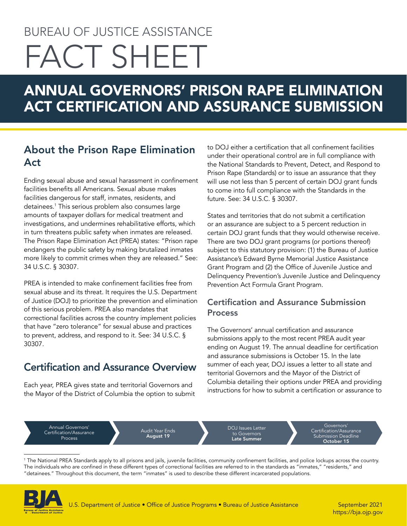# BUREAU OF JUSTICE ASSISTANCE FACT SHEET

# ANNUAL GOVERNORS' PRISON RAPE ELIMINATION ACT CERTIFICATION AND ASSURANCE SUBMISSION

### About the Prison Rape Elimination Act

Ending sexual abuse and sexual harassment in confinement facilities benefits all Americans. Sexual abuse makes facilities dangerous for staff, inmates, residents, and detainees.<sup>1</sup> This serious problem also consumes large amounts of taxpayer dollars for medical treatment and investigations, and undermines rehabilitative efforts, which in turn threatens public safety when inmates are released. The Prison Rape Elimination Act (PREA) states: "Prison rape endangers the public safety by making brutalized inmates more likely to commit crimes when they are released." See: 34 U.S.C. § 30307.

PREA is intended to make confinement facilities free from sexual abuse and its threat. It requires the U.S. Department of Justice (DOJ) to prioritize the prevention and elimination of this serious problem. PREA also mandates that correctional facilities across the country implement policies that have "zero tolerance" for sexual abuse and practices to prevent, address, and respond to it. See: 34 U.S.C. § 30307.

## Certification and Assurance Overview

 Each year, PREA gives state and territorial Governors and the Mayor of the District of Columbia the option to submit to DOJ either a certification that all confinement facilities under their operational control are in full compliance with the National Standards to Prevent, Detect, and Respond to Prison Rape (Standards) or to issue an assurance that they will use not less than 5 percent of certain DOJ grant funds to come into full compliance with the Standards in the future. See: 34 U.S.C. § 30307.

States and territories that do not submit a certification or an assurance are subject to a 5 percent reduction in certain DOJ grant funds that they would otherwise receive. There are two DOJ grant programs (or portions thereof) subject to this statutory provision: (1) the Bureau of Justice Assistance's Edward Byrne Memorial Justice Assistance Grant Program and (2) the Office of Juvenile Justice and Delinquency Prevention's Juvenile Justice and Delinquency Prevention Act Formula Grant Program.

#### Certification and Assurance Submission **Process**

The Governors' annual certification and assurance submissions apply to the most recent PREA audit year ending on August 19. The annual deadline for certification and assurance submissions is October 15. In the late summer of each year, DOJ issues a letter to all state and territorial Governors and the Mayor of the District of Columbia detailing their options under PREA and providing instructions for how to submit a certification or assurance to

Annual Governors' Certification/Assurance Process

Audit Year Ends August 19

DOJ Issues Letter to Governors<br>**Late Summer** 

Governors' Certification/Assurance Submission Deadline October 15

1 The National PREA Standards apply to all prisons and jails, juvenile facilities, community confnement facilities, and police lockups across the country. The individuals who are confned in these different types of correctional facilities are referred to in the standards as "inmates," "residents," and "detainees." Throughout this document, the term "inmates" is used to describe these different incarcerated populations.



<https://bja.ojp.gov>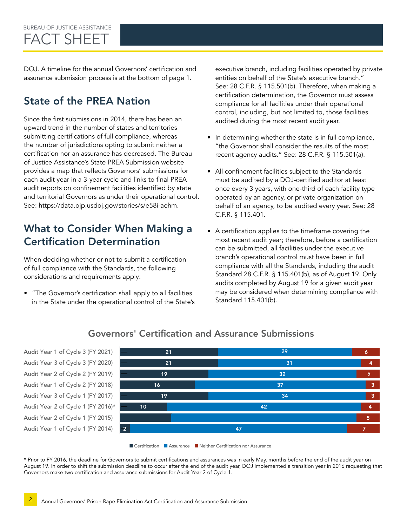DOJ. A timeline for the annual Governors' certification and assurance submission process is at the bottom of page 1.

## State of the PREA Nation

Since the first submissions in 2014, there has been an upward trend in the number of states and territories submitting certifications of full compliance, whereas the number of jurisdictions opting to submit neither a certification nor an assurance has decreased. The Bureau of Justice Assistance's State PREA Submission website provides a map that reflects Governors' submissions for each audit year in a 3-year cycle and links to final PREA audit reports on confinement facilities identified by state and territorial Governors as under their operational control. See:<https://data.ojp.usdoj.gov/stories/s/e58i-aehm>.

#### What to Consider When Making a Certification Determination

When deciding whether or not to submit a certification of full compliance with the Standards, the following considerations and requirements apply:

• "The Governor's certification shall apply to all facilities in the State under the operational control of the State's executive branch, including facilities operated by private entities on behalf of the State's executive branch." See: 28 C.F.R. § 115.501(b). Therefore, when making a certification determination, the Governor must assess compliance for all facilities under their operational control, including, but not limited to, those facilities audited during the most recent audit year.

- In determining whether the state is in full compliance, "the Governor shall consider the results of the most recent agency audits." See: 28 C.F.R. § 115.501(a).
- All confinement facilities subject to the Standards must be audited by a DOJ-certified auditor at least once every 3 years, with one-third of each facility type operated by an agency, or private organization on behalf of an agency, to be audited every year. See: 28 C.F.R. § 115.401.
- A certification applies to the timeframe covering the most recent audit year; therefore, before a certification can be submitted, all facilities under the executive branch's operational control must have been in full compliance with all the Standards, including the audit Standard 28 C.F.R. § 115.401(b), as of August 19. Only audits completed by August 19 for a given audit year may be considered when determining compliance with Standard 115.401(b).



#### 0 10 20 30 40 50 60 21 29 6 21 31 4 19 32 5 16 37 3 19 34 3 10 42 4 11 40 11 40 11 40 11 40 11 40 11 40 11 40 11 40 11 40 11 40 11 40 11 40 11 40 11 40 11 40 11 40 11 40 11 40 11 2 and  $\sim$  7 and  $\sim$  7 and  $\sim$  47 and  $\sim$  7 and  $\sim$  7 and  $\sim$  7 and  $\sim$  7 and  $\sim$  7



■ Certification ■ Assurance ■ Neither Certification nor Assurance

\* Prior to FY 2016, the deadline for Governors to submit certifications and assurances was in early May, months before the end of the audit year on August 19. In order to shift the submission deadline to occur after the end of the audit year, DOJ implemented a transition year in 2016 requesting that Governors make two certification and assurance submissions for Audit Year 2 of Cycle 1.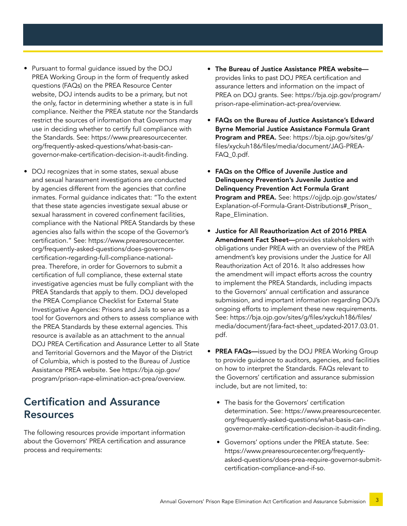- Pursuant to formal guidance issued by the DOJ PREA Working Group in the form of frequently asked questions (FAQs) on the PREA Resource Center website, DOJ intends audits to be a primary, but not the only, factor in determining whether a state is in full compliance. Neither the PREA statute nor the Standards restrict the sources of information that Governors may use in deciding whether to certify full compliance with the Standards. See: [https://www.prearesourcecenter.](https://www.prearesourcecenter.org/frequently-asked-questions/what-basis-can-governor-make-certification-decision-it-audit-finding) [org/frequently-asked-questions/what-basis-can](https://www.prearesourcecenter.org/frequently-asked-questions/what-basis-can-governor-make-certification-decision-it-audit-finding)[governor-make-certification-decision-it-audit-finding.](https://www.prearesourcecenter.org/frequently-asked-questions/what-basis-can-governor-make-certification-decision-it-audit-finding)
- DOJ recognizes that in some states, sexual abuse and sexual harassment investigations are conducted by agencies different from the agencies that confine inmates. Formal guidance indicates that: "To the extent that these state agencies investigate sexual abuse or sexual harassment in covered confinement facilities, compliance with the National PREA Standards by these agencies also falls within the scope of the Governor's certification." See: [https://www.prearesourcecenter.](https://www.prearesourcecenter.org/frequently-asked-questions/does-governors-certification-regarding-full-compliance-national-prea) [org/frequently-asked-questions/does-governors](https://www.prearesourcecenter.org/frequently-asked-questions/does-governors-certification-regarding-full-compliance-national-prea)[certification-regarding-full-compliance-national](https://www.prearesourcecenter.org/frequently-asked-questions/does-governors-certification-regarding-full-compliance-national-prea)[prea](https://www.prearesourcecenter.org/frequently-asked-questions/does-governors-certification-regarding-full-compliance-national-prea). Therefore, in order for Governors to submit a certification of full compliance, these external state investigative agencies must be fully compliant with the PREA Standards that apply to them. DOJ developed the PREA Compliance Checklist for External State Investigative Agencies: Prisons and Jails to serve as a tool for Governors and others to assess compliance with the PREA Standards by these external agencies. This resource is available as an attachment to the annual DOJ PREA Certification and Assurance Letter to all State and Territorial Governors and the Mayor of the District of Columbia, which is posted to the Bureau of Justice Assistance PREA website. See [https://bja.ojp.gov/](https://bja.ojp.gov/program/prison-rape-elimination-act-prea/overview) [program/prison-rape-elimination-act-prea/overview](https://bja.ojp.gov/program/prison-rape-elimination-act-prea/overview).

#### Certification and Assurance Resources

The following resources provide important information about the Governors' PREA certification and assurance process and requirements:

- The Bureau of Justice Assistance PREA website provides links to past DOJ PREA certification and assurance letters and information on the impact of PREA on DOJ grants. See: [https://bja.ojp.gov/program/](https://bja.ojp.gov/program/prison-rape-elimination-act-prea/overview) [prison-rape-elimination-act-prea/overview](https://bja.ojp.gov/program/prison-rape-elimination-act-prea/overview).
- FAQs on the Bureau of Justice Assistance's Edward Byrne Memorial Justice Assistance Formula Grant Program and PREA. See: [https://bja.ojp.gov/sites/g/](https://bja.ojp.gov/sites/g/files/xyckuh186/files/media/document/JAG-PREA-FAQ_0.pdf) [files/xyckuh186/files/media/document/JAG-PREA-](https://bja.ojp.gov/sites/g/files/xyckuh186/files/media/document/JAG-PREA-FAQ_0.pdf)FAQ 0.pdf.
- FAQs on the Office of Juvenile Justice and Delinquency Prevention's Juvenile Justice and Delinquency Prevention Act Formula Grant Program and PREA. See:<https://ojjdp.ojp.gov/states>/ Explanation-of-Formula-Grant-Distributions#\_Prison\_ Rape\_Elimination.
- Justice for All Reauthorization Act of 2016 PREA Amendment Fact Sheet-provides stakeholders with obligations under PREA with an overview of the PREA amendment's key provisions under the Justice for All Reauthorization Act of 2016. It also addresses how the amendment will impact efforts across the country to implement the PREA Standards, including impacts to the Governors' annual certification and assurance submission, and important information regarding DOJ's ongoing efforts to implement these new requirements. See: [https://bja.ojp.gov/sites/g/files/xyckuh186/files/](https://bja.ojp.gov/sites/g/files/xyckuh186/files/media/document/jfara-fact-sheet_updated-2017.03.01.pdf) [media/document/jfara-fact-sheet\\_updated-2017.03.01.](https://bja.ojp.gov/sites/g/files/xyckuh186/files/media/document/jfara-fact-sheet_updated-2017.03.01.pdf) [pdf](https://bja.ojp.gov/sites/g/files/xyckuh186/files/media/document/jfara-fact-sheet_updated-2017.03.01.pdf).
- PREA FAQs—issued by the DOJ PREA Working Group to provide guidance to auditors, agencies, and facilities on how to interpret the Standards. FAQs relevant to the Governors' certification and assurance submission include, but are not limited, to:
	- The basis for the Governors' certification determination. See: [https://www.prearesourcecenter.](https://www.prearesourcecenter.org/frequently-asked-questions/what-basis-can-governor-make-certification-decision-it-audit-finding) [org/frequently-asked-questions/what-basis-can](https://www.prearesourcecenter.org/frequently-asked-questions/what-basis-can-governor-make-certification-decision-it-audit-finding)[governor-make-certification-decision-it-audit-finding.](https://www.prearesourcecenter.org/frequently-asked-questions/what-basis-can-governor-make-certification-decision-it-audit-finding)
	- Governors' options under the PREA statute. See: [https://www.prearesourcecenter.org/frequently](https://www.prearesourcecenter.org/frequently-asked-questions/does-prea-require-governor-submit-certification-compliance-and-if-so)[asked-questions/does-prea-require-governor-submit](https://www.prearesourcecenter.org/frequently-asked-questions/does-prea-require-governor-submit-certification-compliance-and-if-so)[certification-compliance-and-if-so](https://www.prearesourcecenter.org/frequently-asked-questions/does-prea-require-governor-submit-certification-compliance-and-if-so).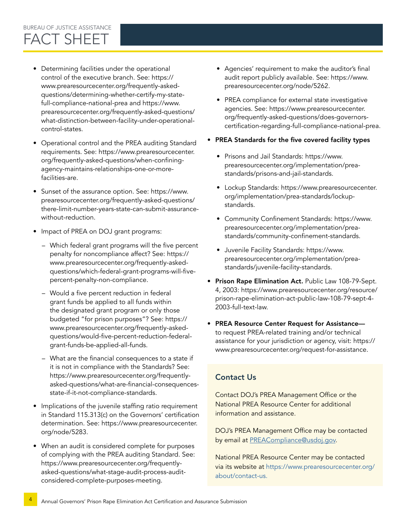# • Determining facilities under the operational control of the executive branch. See: [https://](https://www.prearesourcecenter.org/frequently-asked-questions/determining-whether-certify-my-state-full-compliance-national-prea) [www.prearesourcecenter.org/frequently-asked-](https://www.prearesourcecenter.org/frequently-asked-questions/determining-whether-certify-my-state-full-compliance-national-prea)

- [questions/determining-whether-certify-my-state](https://www.prearesourcecenter.org/frequently-asked-questions/determining-whether-certify-my-state-full-compliance-national-prea)[full-compliance-national-prea](https://www.prearesourcecenter.org/frequently-asked-questions/determining-whether-certify-my-state-full-compliance-national-prea) and [https://www.](https://www.prearesourcecenter.org/frequently-asked-questions/what-distinction-between-facility-under-operational-control-states) [prearesourcecenter.org/frequently-asked-questions/](https://www.prearesourcecenter.org/frequently-asked-questions/what-distinction-between-facility-under-operational-control-states) [what-distinction-between-facility-under-operational](https://www.prearesourcecenter.org/frequently-asked-questions/what-distinction-between-facility-under-operational-control-states)[control-states](https://www.prearesourcecenter.org/frequently-asked-questions/what-distinction-between-facility-under-operational-control-states).
- Operational control and the PREA auditing Standard requirements. See: [https://www.prearesourcecenter.](https://www.prearesourcecenter.org/frequently-asked-questions/when-confining-agency-maintains-relationships-one-or-more-facilities-are) [org/frequently-asked-questions/when-confining](https://www.prearesourcecenter.org/frequently-asked-questions/when-confining-agency-maintains-relationships-one-or-more-facilities-are)[agency-maintains-relationships-one-or-more](https://www.prearesourcecenter.org/frequently-asked-questions/when-confining-agency-maintains-relationships-one-or-more-facilities-are)[facilities-are](https://www.prearesourcecenter.org/frequently-asked-questions/when-confining-agency-maintains-relationships-one-or-more-facilities-are).
- Sunset of the assurance option. See: [https://www.](https://www.prearesourcecenter.org/frequently-asked-questions/there-limit-number-years-state-can-submit-assurance-without-reduction) [prearesourcecenter.org/frequently-asked-questions/](https://www.prearesourcecenter.org/frequently-asked-questions/there-limit-number-years-state-can-submit-assurance-without-reduction) [there-limit-number-years-state-can-submit-assurance](https://www.prearesourcecenter.org/frequently-asked-questions/there-limit-number-years-state-can-submit-assurance-without-reduction)[without-reduction](https://www.prearesourcecenter.org/frequently-asked-questions/there-limit-number-years-state-can-submit-assurance-without-reduction).
- Impact of PREA on DOJ grant programs:
	- Which federal grant programs will the five percent penalty for noncompliance affect? See: [https://](https://www.prearesourcecenter.org/frequently-asked-questions/which-federal-grant-programs-will-five-percent-penalty-non-compliance) [www.prearesourcecenter.org/frequently-asked](https://www.prearesourcecenter.org/frequently-asked-questions/which-federal-grant-programs-will-five-percent-penalty-non-compliance)[questions/which-federal-grant-programs-will-five](https://www.prearesourcecenter.org/frequently-asked-questions/which-federal-grant-programs-will-five-percent-penalty-non-compliance)[percent-penalty-non-compliance](https://www.prearesourcecenter.org/frequently-asked-questions/which-federal-grant-programs-will-five-percent-penalty-non-compliance).
	- Would a five percent reduction in federal grant funds be applied to all funds within the designated grant program or only those budgeted "for prison purposes"? See: [https://](https://www.prearesourcecenter.org/frequently-asked-questions/would-five-percent-reduction-federal-grant-funds-be-applied-all-funds) [www.prearesourcecenter.org/frequently-asked](https://www.prearesourcecenter.org/frequently-asked-questions/would-five-percent-reduction-federal-grant-funds-be-applied-all-funds)[questions/would-five-percent-reduction-federal](https://www.prearesourcecenter.org/frequently-asked-questions/would-five-percent-reduction-federal-grant-funds-be-applied-all-funds)[grant-funds-be-applied-all-funds](https://www.prearesourcecenter.org/frequently-asked-questions/would-five-percent-reduction-federal-grant-funds-be-applied-all-funds).
	- What are the financial consequences to a state if it is not in compliance with the Standards? See: [https://www.prearesourcecenter.org/frequently](https://www.prearesourcecenter.org/frequently-asked-questions/what-are-financial-consequences-state-if-it-not-compliance-standards)[asked-questions/what-are-financial-consequences](https://www.prearesourcecenter.org/frequently-asked-questions/what-are-financial-consequences-state-if-it-not-compliance-standards)[state-if-it-not-compliance-standards](https://www.prearesourcecenter.org/frequently-asked-questions/what-are-financial-consequences-state-if-it-not-compliance-standards).
- Implications of the juvenile staffing ratio requirement in Standard 115.313(c) on the Governors' certification determination. See: [https://www.prearesourcecenter.](https://www.prearesourcecenter.org/node/5283) [org/node/5283.](https://www.prearesourcecenter.org/node/5283)
- When an audit is considered complete for purposes of complying with the PREA auditing Standard. See: [https://www.prearesourcecenter.org/frequently](https://www.prearesourcecenter.org/frequently-asked-questions/what-stage-audit-process-audit-considered-complete-purposes-meeting)[asked-questions/what-stage-audit-process-audit](https://www.prearesourcecenter.org/frequently-asked-questions/what-stage-audit-process-audit-considered-complete-purposes-meeting)[considered-complete-purposes-meeting](https://www.prearesourcecenter.org/frequently-asked-questions/what-stage-audit-process-audit-considered-complete-purposes-meeting).
- Agencies' requirement to make the auditor's final audit report publicly available. See: [https://www.](https://www.prearesourcecenter.org/node/5262http://) [prearesourcecenter.org/node/5262.](https://www.prearesourcecenter.org/node/5262http://)
- PREA compliance for external state investigative agencies. See: [https://www.prearesourcecenter.](https://www.prearesourcecenter.org/frequently-asked-questions/does-governors-certification-regarding-full-compliance-national-prea) [org/frequently-asked-questions/does-governors](https://www.prearesourcecenter.org/frequently-asked-questions/does-governors-certification-regarding-full-compliance-national-prea)[certification-regarding-full-compliance-national-prea](https://www.prearesourcecenter.org/frequently-asked-questions/does-governors-certification-regarding-full-compliance-national-prea).
- PREA Standards for the five covered facility types
	- Prisons and Jail Standards: [https://www.](https://www.prearesourcecenter.org/implementation/prea-standards/prisons-and-jail-standards) [prearesourcecenter.org/implementation/prea](https://www.prearesourcecenter.org/implementation/prea-standards/prisons-and-jail-standards)[standards/prisons-and-jail-standards](https://www.prearesourcecenter.org/implementation/prea-standards/prisons-and-jail-standards).
	- Lockup Standards: [https://www.prearesourcecenter.](https://www.prearesourcecenter.org/implementation/prea-standards/lockup-standards) [org/implementation/prea-standards/lockup](https://www.prearesourcecenter.org/implementation/prea-standards/lockup-standards)[standards](https://www.prearesourcecenter.org/implementation/prea-standards/lockup-standards).
	- Community Confinement Standards: [https://www.](https://www.prearesourcecenter.org/implementation/prea-standards/community-confinement-standards) [prearesourcecenter.org/implementation/prea](https://www.prearesourcecenter.org/implementation/prea-standards/community-confinement-standards)[standards/community-confinement-standards.](https://www.prearesourcecenter.org/implementation/prea-standards/community-confinement-standards)
	- Juvenile Facility Standards: [https://www.](https://www.prearesourcecenter.org/implementation/prea-standards/juvenile-facility-standards) [prearesourcecenter.org/implementation/prea](https://www.prearesourcecenter.org/implementation/prea-standards/juvenile-facility-standards)[standards/juvenile-facility-standards](https://www.prearesourcecenter.org/implementation/prea-standards/juvenile-facility-standards).
- Prison Rape Elimination Act. Public Law 108-79-Sept. 4, 2003: [https://www.prearesourcecenter.org/resource/](https://www.prearesourcecenter.org/resource/prison-rape-elimination-act-public-law-108-79-sept-4-2003-full-text-law) [prison-rape-elimination-act-public-law-108-79-sept-4-](https://www.prearesourcecenter.org/resource/prison-rape-elimination-act-public-law-108-79-sept-4-2003-full-text-law) [2003-full-text-law](https://www.prearesourcecenter.org/resource/prison-rape-elimination-act-public-law-108-79-sept-4-2003-full-text-law).
- PREA Resource Center Request for Assistance to request PREA-related training and/or technical assistance for your jurisdiction or agency, visit: [https://](https://www.prearesourcecenter.org/request-for-assistance) [www.prearesourcecenter.org/request-for-assistance](https://www.prearesourcecenter.org/request-for-assistance).

#### Contact Us

Contact DOJ's PREA Management Office or the National PREA Resource Center for additional information and assistance.

DOJ's PREA Management Office may be contacted by email at [PREACompliance@usdoj.go](mailto:PREACompliance%40usdoj.gov?subject=)[v.](mailto:PREACompliance@usdoj.gov)

National PREA Resource Center may be contacted via its website at [https://www.prearesourcecenter.org/](https://www.prearesourcecenter.org/about/contact-us)  [about/contact-us.](https://www.prearesourcecenter.org/about/contact-us)